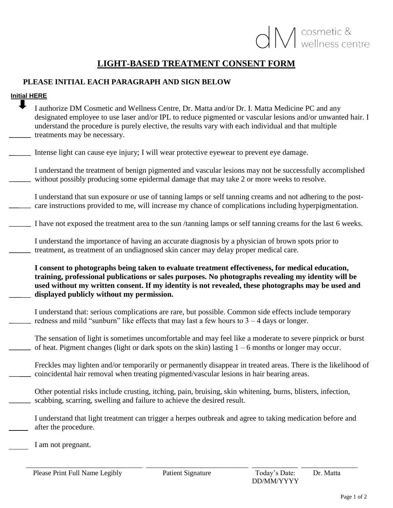# O M cosmetic &

### **LIGHT-BASED TREATMENT CONSENT FORM**

#### **PLEASE INITIAL EACH PARAGRAPH AND SIGN BELOW**

#### **Initial HERE**

- I authorize DM Cosmetic and Wellness Centre, Dr. Matta and/or Dr. I. Matta Medicine PC and any designated employee to use laser and/or IPL to reduce pigmented or vascular lesions and/or unwanted hair. I understand the procedure is purely elective, the results vary with each individual and that multiple treatments may be necessary.
- Intense light can cause eye injury; I will wear protective eyewear to prevent eye damage.

I understand the treatment of benign pigmented and vascular lesions may not be successfully accomplished without possibly producing some epidermal damage that may take 2 or more weeks to resolve.

I understand that sun exposure or use of tanning lamps or self tanning creams and not adhering to the postcare instructions provided to me, will increase my chance of complications including hyperpigmentation.

I have not exposed the treatment area to the sun /tanning lamps or self tanning creams for the last 6 weeks.

I understand the importance of having an accurate diagnosis by a physician of brown spots prior to treatment, as treatment of an undiagnosed skin cancer may delay proper medical care.

**I consent to photographs being taken to evaluate treatment effectiveness, for medical education, training, professional publications or sales purposes. No photographs revealing my identity will be used without my written consent. If my identity is not revealed, these photographs may be used and displayed publicly without my permission.**

I understand that: serious complications are rare, but possible. Common side effects include temporary redness and mild "sunburn" like effects that may last a few hours to  $3 - 4$  days or longer.

The sensation of light is sometimes uncomfortable and may feel like a moderate to severe pinprick or burst of heat. Pigment changes (light or dark spots on the skin) lasting  $1 - 6$  months or longer may occur.

Freckles may lighten and/or temporarily or permanently disappear in treated areas. There is the likelihood of coincidental hair removal when treating pigmented/vascular lesions in hair bearing areas.

Other potential risks include crusting, itching, pain, bruising, skin whitening, burns, blisters, infection, scabbing, scarring, swelling and failure to achieve the desired result.

I understand that light treatment can trigger a herpes outbreak and agree to taking medication before and after the procedure.

I am not pregnant.

\_\_\_\_\_\_\_\_\_\_\_\_\_\_\_\_\_\_\_\_\_\_\_\_\_\_\_\_\_\_\_\_\_ \_\_\_\_\_\_\_\_\_\_\_\_\_\_\_\_\_\_\_\_\_\_\_\_\_\_\_\_\_ \_\_\_\_\_\_\_\_\_\_\_\_\_ \_\_\_\_\_\_\_\_\_\_\_\_\_\_\_\_